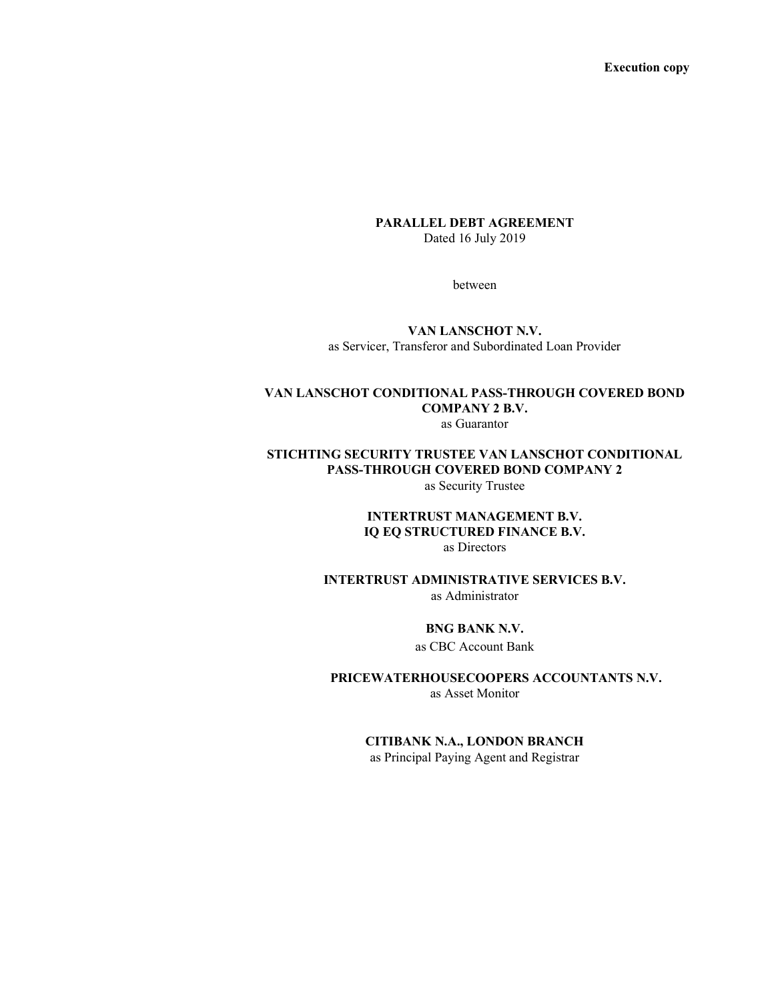Execution copy

#### PARALLEL DEBT AGREEMENT Dated 16 July 2019

between

#### VAN LANSCHOT N.V. as Servicer, Transferor and Subordinated Loan Provider

#### VAN LANSCHOT CONDITIONAL PASS-THROUGH COVERED BOND COMPANY 2 B.V. as Guarantor

STICHTING SECURITY TRUSTEE VAN LANSCHOT CONDITIONAL PASS-THROUGH COVERED BOND COMPANY 2 as Security Trustee

#### INTERTRUST MANAGEMENT B.V. IQ EQ STRUCTURED FINANCE B.V. as Directors

INTERTRUST ADMINISTRATIVE SERVICES B.V.

as Administrator

#### BNG BANK N.V.

as CBC Account Bank

PRICEWATERHOUSECOOPERS ACCOUNTANTS N.V. as Asset Monitor

# CITIBANK N.A., LONDON BRANCH

as Principal Paying Agent and Registrar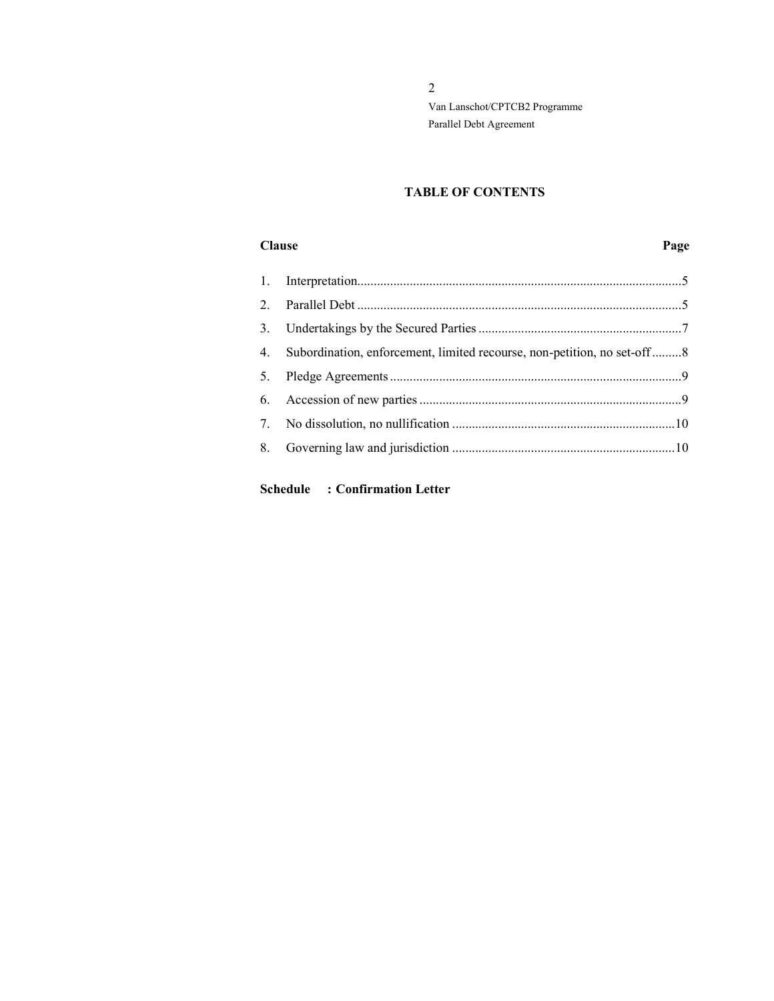# TABLE OF CONTENTS

#### Clause Page

| 3. |                                                                         |  |
|----|-------------------------------------------------------------------------|--|
| 4. | Subordination, enforcement, limited recourse, non-petition, no set-off8 |  |
|    |                                                                         |  |
|    |                                                                         |  |
|    |                                                                         |  |
|    |                                                                         |  |
|    |                                                                         |  |

# Schedule : Confirmation Letter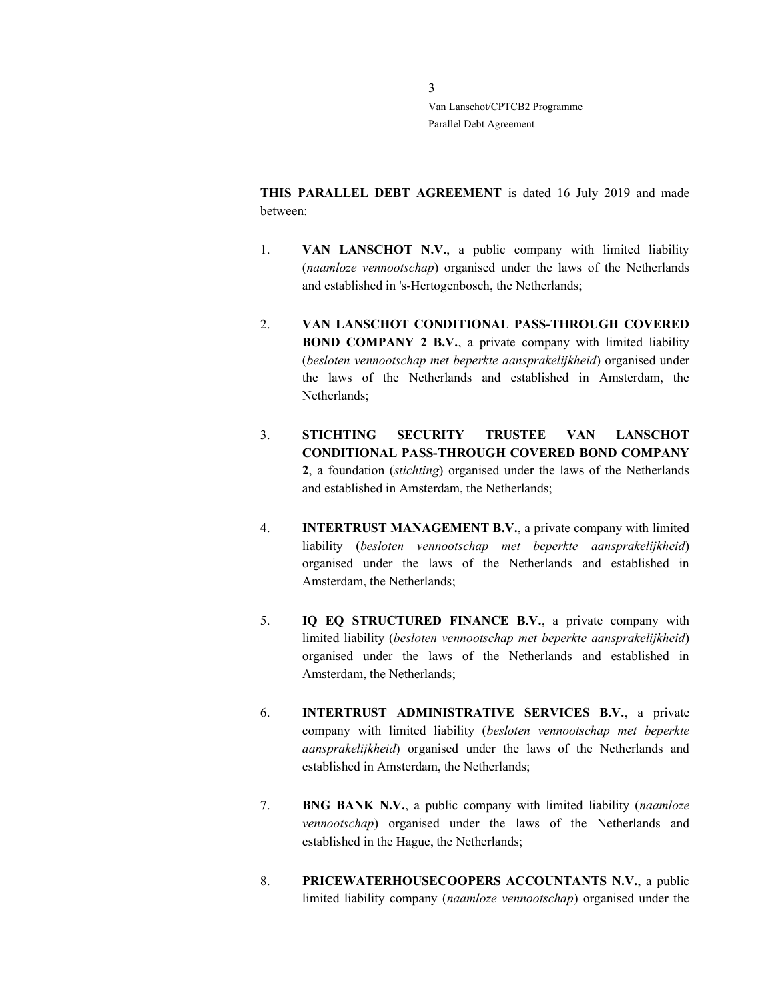THIS PARALLEL DEBT AGREEMENT is dated 16 July 2019 and made between:

- 1. **VAN LANSCHOT N.V.**, a public company with limited liability (naamloze vennootschap) organised under the laws of the Netherlands and established in 's-Hertogenbosch, the Netherlands;
- 2. VAN LANSCHOT CONDITIONAL PASS-THROUGH COVERED BOND COMPANY 2 B.V., a private company with limited liability (besloten vennootschap met beperkte aansprakelijkheid) organised under the laws of the Netherlands and established in Amsterdam, the Netherlands;
- 3. STICHTING SECURITY TRUSTEE VAN LANSCHOT CONDITIONAL PASS-THROUGH COVERED BOND COMPANY 2, a foundation (stichting) organised under the laws of the Netherlands and established in Amsterdam, the Netherlands;
- 4. INTERTRUST MANAGEMENT B.V., a private company with limited liability (besloten vennootschap met beperkte aansprakelijkheid) organised under the laws of the Netherlands and established in Amsterdam, the Netherlands;
- 5. IQ EQ STRUCTURED FINANCE B.V., a private company with limited liability (besloten vennootschap met beperkte aansprakelijkheid) organised under the laws of the Netherlands and established in Amsterdam, the Netherlands;
- 6. INTERTRUST ADMINISTRATIVE SERVICES B.V., a private company with limited liability (besloten vennootschap met beperkte aansprakelijkheid) organised under the laws of the Netherlands and established in Amsterdam, the Netherlands;
- 7. BNG BANK N.V., a public company with limited liability (naamloze vennootschap) organised under the laws of the Netherlands and established in the Hague, the Netherlands;
- 8. PRICEWATERHOUSECOOPERS ACCOUNTANTS N.V., a public limited liability company (naamloze vennootschap) organised under the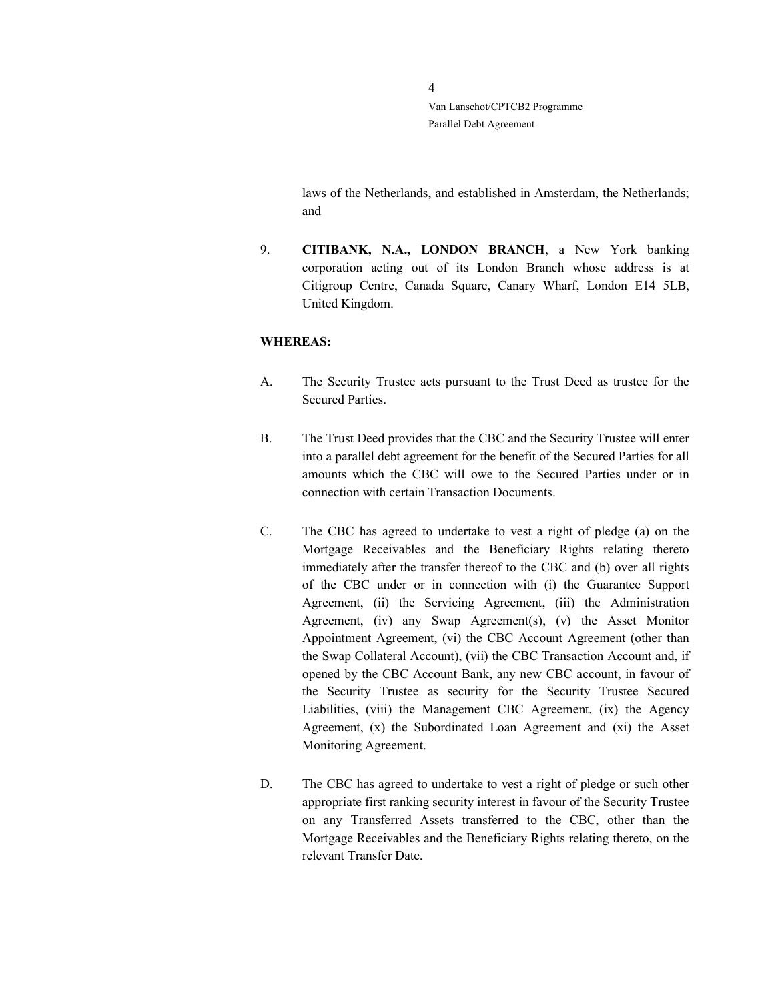> laws of the Netherlands, and established in Amsterdam, the Netherlands; and

9. CITIBANK, N.A., LONDON BRANCH, a New York banking corporation acting out of its London Branch whose address is at Citigroup Centre, Canada Square, Canary Wharf, London E14 5LB, United Kingdom.

#### WHEREAS:

- A. The Security Trustee acts pursuant to the Trust Deed as trustee for the Secured Parties.
- B. The Trust Deed provides that the CBC and the Security Trustee will enter into a parallel debt agreement for the benefit of the Secured Parties for all amounts which the CBC will owe to the Secured Parties under or in connection with certain Transaction Documents.
- C. The CBC has agreed to undertake to vest a right of pledge (a) on the Mortgage Receivables and the Beneficiary Rights relating thereto immediately after the transfer thereof to the CBC and (b) over all rights of the CBC under or in connection with (i) the Guarantee Support Agreement, (ii) the Servicing Agreement, (iii) the Administration Agreement, (iv) any Swap Agreement(s), (v) the Asset Monitor Appointment Agreement, (vi) the CBC Account Agreement (other than the Swap Collateral Account), (vii) the CBC Transaction Account and, if opened by the CBC Account Bank, any new CBC account, in favour of the Security Trustee as security for the Security Trustee Secured Liabilities, (viii) the Management CBC Agreement, (ix) the Agency Agreement, (x) the Subordinated Loan Agreement and (xi) the Asset Monitoring Agreement.
- D. The CBC has agreed to undertake to vest a right of pledge or such other appropriate first ranking security interest in favour of the Security Trustee on any Transferred Assets transferred to the CBC, other than the Mortgage Receivables and the Beneficiary Rights relating thereto, on the relevant Transfer Date.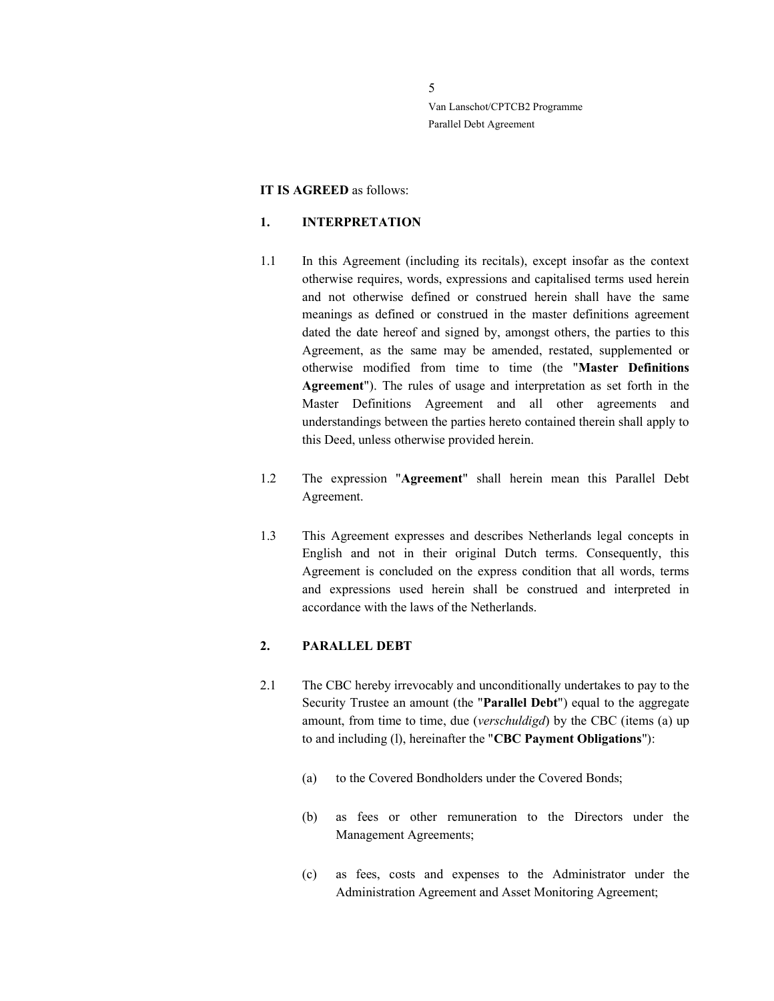#### IT IS AGREED as follows:

#### 1. INTERPRETATION

- 1.1 In this Agreement (including its recitals), except insofar as the context otherwise requires, words, expressions and capitalised terms used herein and not otherwise defined or construed herein shall have the same meanings as defined or construed in the master definitions agreement dated the date hereof and signed by, amongst others, the parties to this Agreement, as the same may be amended, restated, supplemented or otherwise modified from time to time (the "Master Definitions Agreement"). The rules of usage and interpretation as set forth in the Master Definitions Agreement and all other agreements and understandings between the parties hereto contained therein shall apply to this Deed, unless otherwise provided herein.
- 1.2 The expression "Agreement" shall herein mean this Parallel Debt Agreement.
- 1.3 This Agreement expresses and describes Netherlands legal concepts in English and not in their original Dutch terms. Consequently, this Agreement is concluded on the express condition that all words, terms and expressions used herein shall be construed and interpreted in accordance with the laws of the Netherlands.

### 2. PARALLEL DEBT

- 2.1 The CBC hereby irrevocably and unconditionally undertakes to pay to the Security Trustee an amount (the "Parallel Debt") equal to the aggregate amount, from time to time, due (verschuldigd) by the CBC (items (a) up to and including (l), hereinafter the "CBC Payment Obligations"):
	- (a) to the Covered Bondholders under the Covered Bonds;
	- (b) as fees or other remuneration to the Directors under the Management Agreements;
	- (c) as fees, costs and expenses to the Administrator under the Administration Agreement and Asset Monitoring Agreement;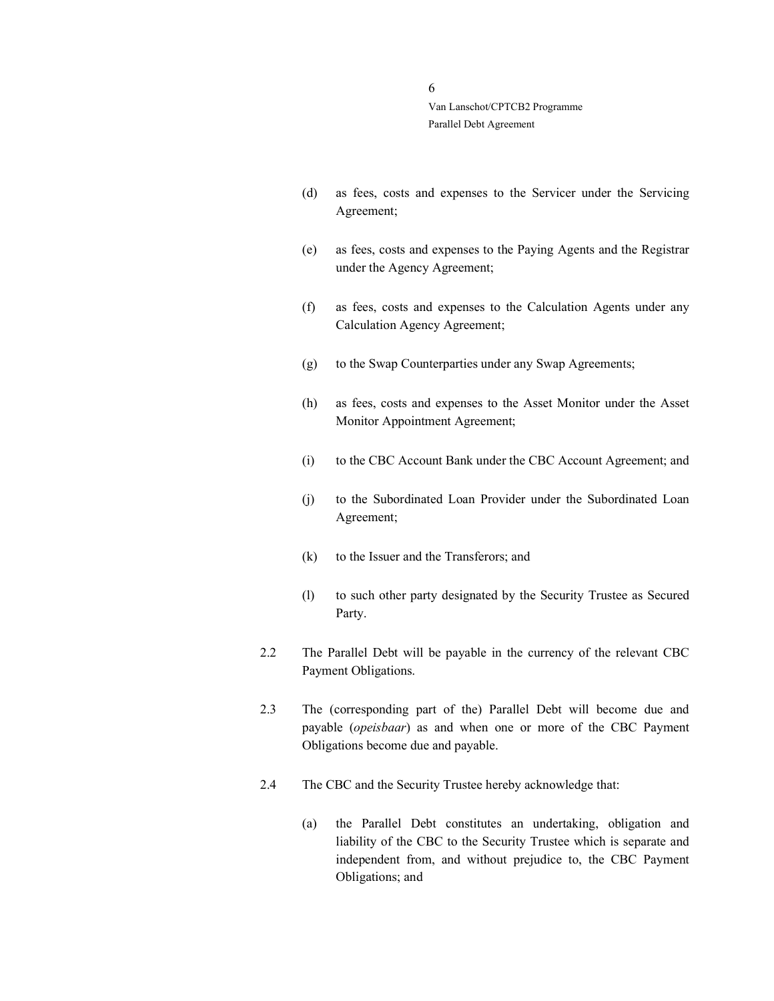- (d) as fees, costs and expenses to the Servicer under the Servicing Agreement;
- (e) as fees, costs and expenses to the Paying Agents and the Registrar under the Agency Agreement;
- (f) as fees, costs and expenses to the Calculation Agents under any Calculation Agency Agreement;
- (g) to the Swap Counterparties under any Swap Agreements;
- (h) as fees, costs and expenses to the Asset Monitor under the Asset Monitor Appointment Agreement;
- (i) to the CBC Account Bank under the CBC Account Agreement; and
- (j) to the Subordinated Loan Provider under the Subordinated Loan Agreement;
- (k) to the Issuer and the Transferors; and
- (l) to such other party designated by the Security Trustee as Secured Party.
- 2.2 The Parallel Debt will be payable in the currency of the relevant CBC Payment Obligations.
- 2.3 The (corresponding part of the) Parallel Debt will become due and payable (opeisbaar) as and when one or more of the CBC Payment Obligations become due and payable.
- 2.4 The CBC and the Security Trustee hereby acknowledge that:
	- (a) the Parallel Debt constitutes an undertaking, obligation and liability of the CBC to the Security Trustee which is separate and independent from, and without prejudice to, the CBC Payment Obligations; and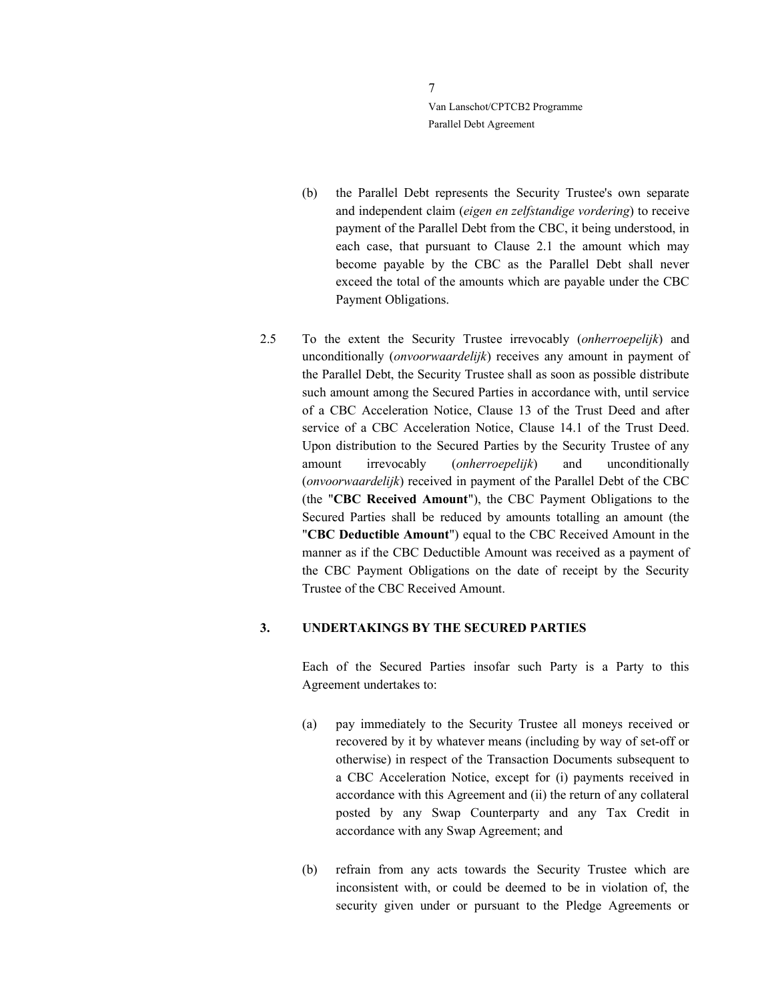- (b) the Parallel Debt represents the Security Trustee's own separate and independent claim (eigen en zelfstandige vordering) to receive payment of the Parallel Debt from the CBC, it being understood, in each case, that pursuant to Clause 2.1 the amount which may become payable by the CBC as the Parallel Debt shall never exceed the total of the amounts which are payable under the CBC Payment Obligations.
- 2.5 To the extent the Security Trustee irrevocably (onherroepelijk) and unconditionally (onvoorwaardelijk) receives any amount in payment of the Parallel Debt, the Security Trustee shall as soon as possible distribute such amount among the Secured Parties in accordance with, until service of a CBC Acceleration Notice, Clause 13 of the Trust Deed and after service of a CBC Acceleration Notice, Clause 14.1 of the Trust Deed. Upon distribution to the Secured Parties by the Security Trustee of any amount irrevocably (onherroepelijk) and unconditionally (onvoorwaardelijk) received in payment of the Parallel Debt of the CBC (the "CBC Received Amount"), the CBC Payment Obligations to the Secured Parties shall be reduced by amounts totalling an amount (the "CBC Deductible Amount") equal to the CBC Received Amount in the manner as if the CBC Deductible Amount was received as a payment of the CBC Payment Obligations on the date of receipt by the Security Trustee of the CBC Received Amount.

#### 3. UNDERTAKINGS BY THE SECURED PARTIES

Each of the Secured Parties insofar such Party is a Party to this Agreement undertakes to:

- (a) pay immediately to the Security Trustee all moneys received or recovered by it by whatever means (including by way of set-off or otherwise) in respect of the Transaction Documents subsequent to a CBC Acceleration Notice, except for (i) payments received in accordance with this Agreement and (ii) the return of any collateral posted by any Swap Counterparty and any Tax Credit in accordance with any Swap Agreement; and
- (b) refrain from any acts towards the Security Trustee which are inconsistent with, or could be deemed to be in violation of, the security given under or pursuant to the Pledge Agreements or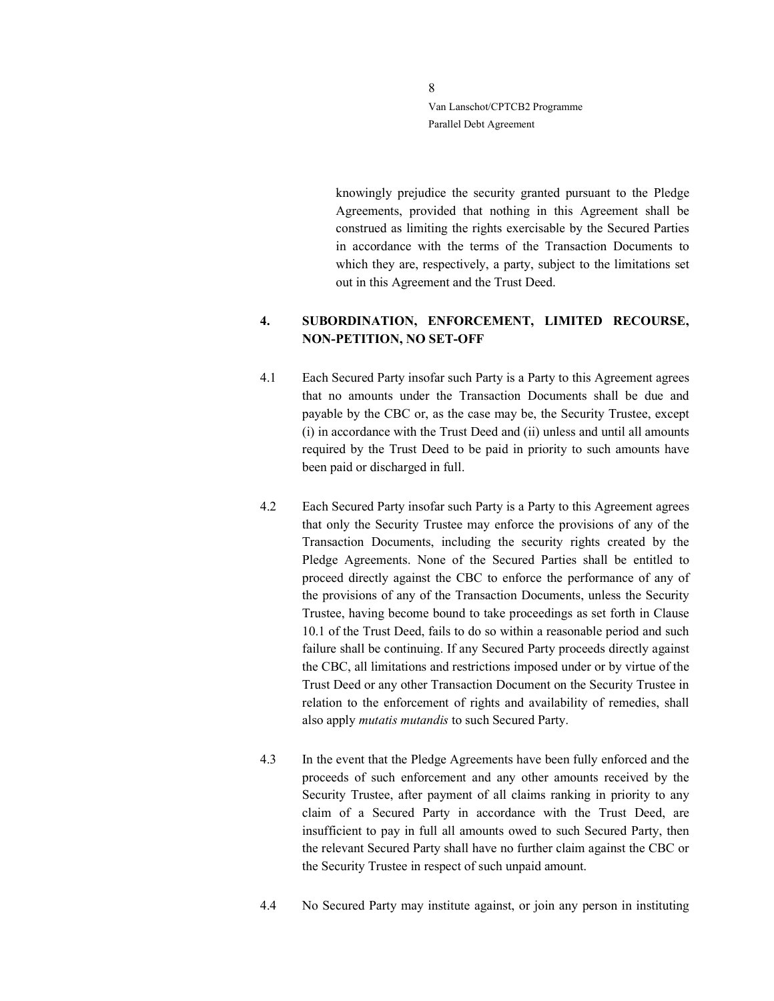> knowingly prejudice the security granted pursuant to the Pledge Agreements, provided that nothing in this Agreement shall be construed as limiting the rights exercisable by the Secured Parties in accordance with the terms of the Transaction Documents to which they are, respectively, a party, subject to the limitations set out in this Agreement and the Trust Deed.

# 4. SUBORDINATION, ENFORCEMENT, LIMITED RECOURSE, NON-PETITION, NO SET-OFF

- 4.1 Each Secured Party insofar such Party is a Party to this Agreement agrees that no amounts under the Transaction Documents shall be due and payable by the CBC or, as the case may be, the Security Trustee, except (i) in accordance with the Trust Deed and (ii) unless and until all amounts required by the Trust Deed to be paid in priority to such amounts have been paid or discharged in full.
- 4.2 Each Secured Party insofar such Party is a Party to this Agreement agrees that only the Security Trustee may enforce the provisions of any of the Transaction Documents, including the security rights created by the Pledge Agreements. None of the Secured Parties shall be entitled to proceed directly against the CBC to enforce the performance of any of the provisions of any of the Transaction Documents, unless the Security Trustee, having become bound to take proceedings as set forth in Clause 10.1 of the Trust Deed, fails to do so within a reasonable period and such failure shall be continuing. If any Secured Party proceeds directly against the CBC, all limitations and restrictions imposed under or by virtue of the Trust Deed or any other Transaction Document on the Security Trustee in relation to the enforcement of rights and availability of remedies, shall also apply mutatis mutandis to such Secured Party.
- 4.3 In the event that the Pledge Agreements have been fully enforced and the proceeds of such enforcement and any other amounts received by the Security Trustee, after payment of all claims ranking in priority to any claim of a Secured Party in accordance with the Trust Deed, are insufficient to pay in full all amounts owed to such Secured Party, then the relevant Secured Party shall have no further claim against the CBC or the Security Trustee in respect of such unpaid amount.
- 4.4 No Secured Party may institute against, or join any person in instituting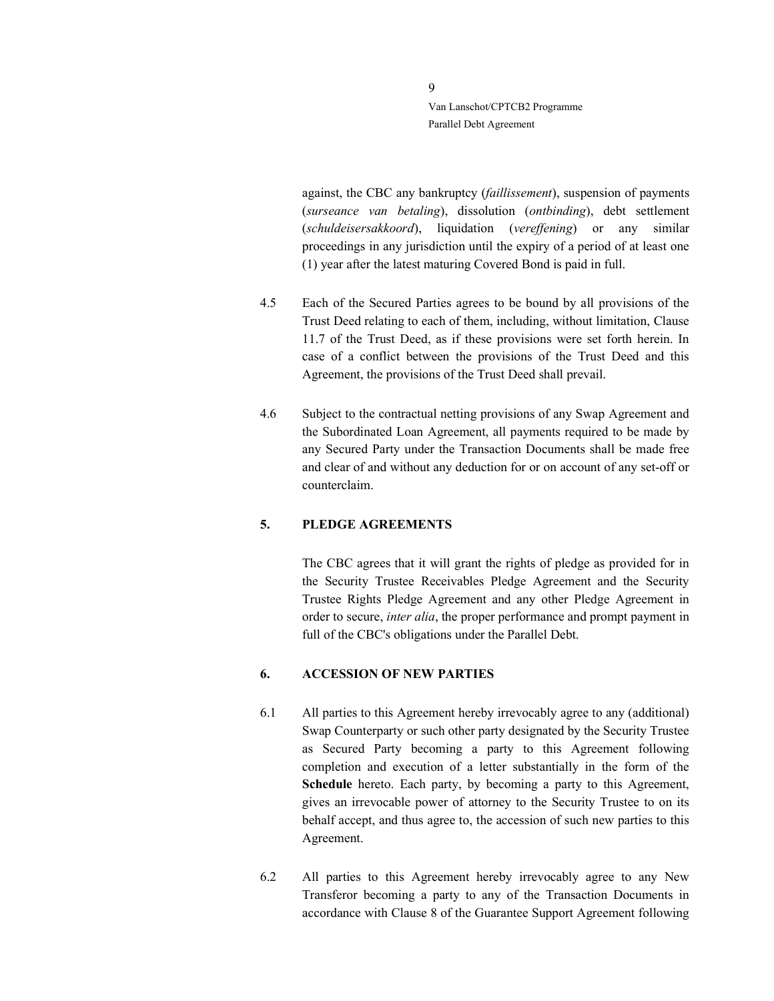> against, the CBC any bankruptcy (faillissement), suspension of payments (surseance van betaling), dissolution (ontbinding), debt settlement (schuldeisersakkoord), liquidation (vereffening) or any similar proceedings in any jurisdiction until the expiry of a period of at least one (1) year after the latest maturing Covered Bond is paid in full.

- 4.5 Each of the Secured Parties agrees to be bound by all provisions of the Trust Deed relating to each of them, including, without limitation, Clause 11.7 of the Trust Deed, as if these provisions were set forth herein. In case of a conflict between the provisions of the Trust Deed and this Agreement, the provisions of the Trust Deed shall prevail.
- 4.6 Subject to the contractual netting provisions of any Swap Agreement and the Subordinated Loan Agreement, all payments required to be made by any Secured Party under the Transaction Documents shall be made free and clear of and without any deduction for or on account of any set-off or counterclaim.

#### 5. PLEDGE AGREEMENTS

The CBC agrees that it will grant the rights of pledge as provided for in the Security Trustee Receivables Pledge Agreement and the Security Trustee Rights Pledge Agreement and any other Pledge Agreement in order to secure, inter alia, the proper performance and prompt payment in full of the CBC's obligations under the Parallel Debt.

#### 6. ACCESSION OF NEW PARTIES

- 6.1 All parties to this Agreement hereby irrevocably agree to any (additional) Swap Counterparty or such other party designated by the Security Trustee as Secured Party becoming a party to this Agreement following completion and execution of a letter substantially in the form of the Schedule hereto. Each party, by becoming a party to this Agreement, gives an irrevocable power of attorney to the Security Trustee to on its behalf accept, and thus agree to, the accession of such new parties to this Agreement.
- 6.2 All parties to this Agreement hereby irrevocably agree to any New Transferor becoming a party to any of the Transaction Documents in accordance with Clause 8 of the Guarantee Support Agreement following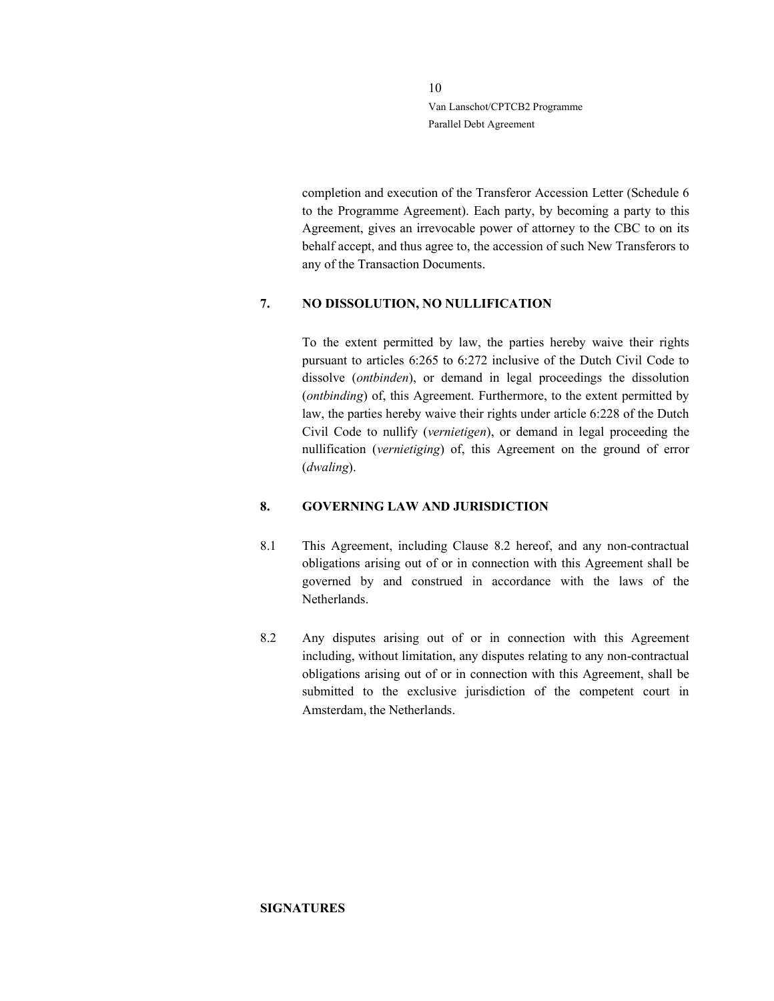> completion and execution of the Transferor Accession Letter (Schedule 6 to the Programme Agreement). Each party, by becoming a party to this Agreement, gives an irrevocable power of attorney to the CBC to on its behalf accept, and thus agree to, the accession of such New Transferors to any of the Transaction Documents.

#### 7. NO DISSOLUTION, NO NULLIFICATION

To the extent permitted by law, the parties hereby waive their rights pursuant to articles 6:265 to 6:272 inclusive of the Dutch Civil Code to dissolve (ontbinden), or demand in legal proceedings the dissolution (ontbinding) of, this Agreement. Furthermore, to the extent permitted by law, the parties hereby waive their rights under article 6:228 of the Dutch Civil Code to nullify (vernietigen), or demand in legal proceeding the nullification (vernietiging) of, this Agreement on the ground of error (dwaling).

#### 8. GOVERNING LAW AND JURISDICTION

- 8.1 This Agreement, including Clause 8.2 hereof, and any non-contractual obligations arising out of or in connection with this Agreement shall be governed by and construed in accordance with the laws of the Netherlands.
- 8.2 Any disputes arising out of or in connection with this Agreement including, without limitation, any disputes relating to any non-contractual obligations arising out of or in connection with this Agreement, shall be submitted to the exclusive jurisdiction of the competent court in Amsterdam, the Netherlands.

#### **SIGNATURES**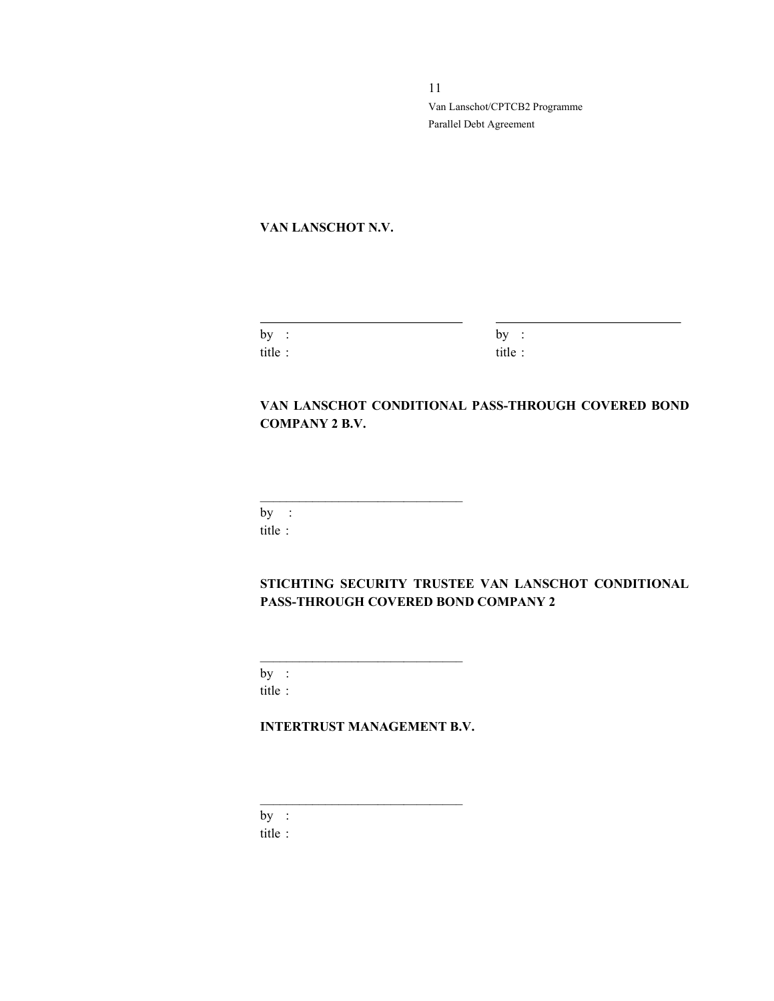### VAN LANSCHOT N.V.

| by:    | by<br>$\bullet$<br>$\sim$ |
|--------|---------------------------|
| title: | title:                    |

# VAN LANSCHOT CONDITIONAL PASS-THROUGH COVERED BOND COMPANY 2 B.V.

by : title :

# STICHTING SECURITY TRUSTEE VAN LANSCHOT CONDITIONAL PASS-THROUGH COVERED BOND COMPANY 2

by : title :

# INTERTRUST MANAGEMENT B.V.

 $\mathcal{L}_\text{max}$  and the set of the set of the set of the set of the set of the set of the set of the set of the set of the set of the set of the set of the set of the set of the set of the set of the set of the set of the s

 $\mathcal{L}_\text{max}$  and  $\mathcal{L}_\text{max}$  and  $\mathcal{L}_\text{max}$  and  $\mathcal{L}_\text{max}$ 

by :

title :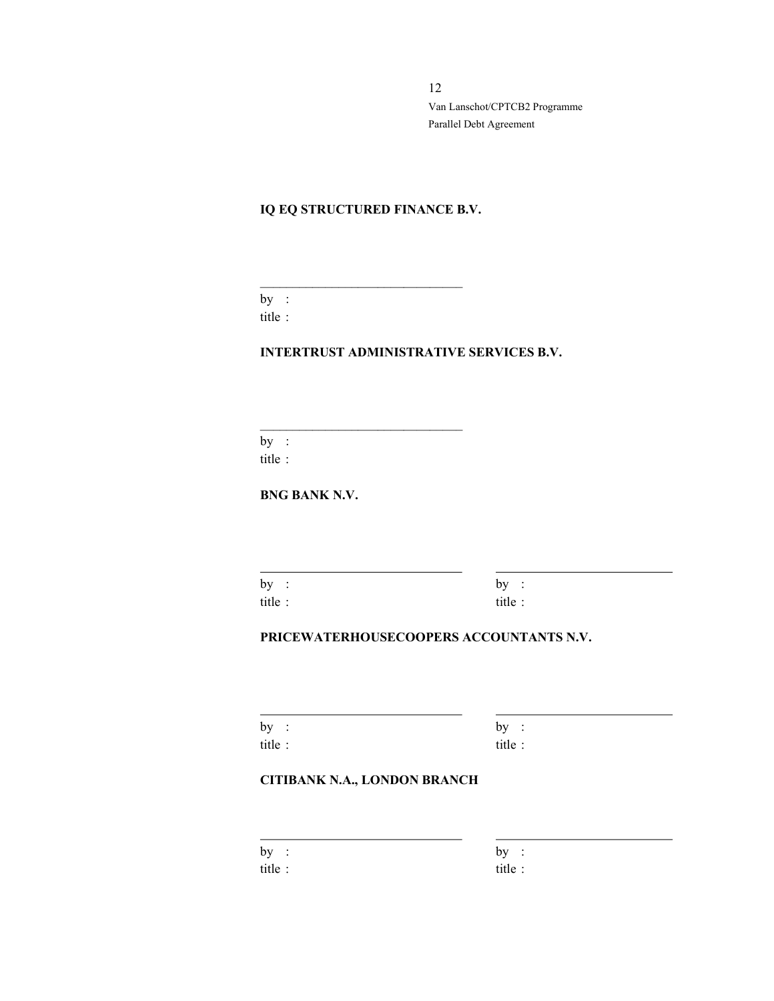# IQ EQ STRUCTURED FINANCE B.V.

 $\mathcal{L}_\text{max}$  and the set of the set of the set of the set of the set of the set of the set of the set of the set of the set of the set of the set of the set of the set of the set of the set of the set of the set of the s

by : title :

#### INTERTRUST ADMINISTRATIVE SERVICES B.V.

by : title :

BNG BANK N.V.

by :  $by$  : title : title :

 $\overline{a}$ 

 $\overline{a}$ 

 $\overline{a}$ 

# PRICEWATERHOUSECOOPERS ACCOUNTANTS N.V.

| by :   | by:     |
|--------|---------|
| title: | title : |

# CITIBANK N.A., LONDON BRANCH

| by      | $\ddot{\phantom{1}}$ | by      | $\sim$ 1. |
|---------|----------------------|---------|-----------|
| title : |                      | title : |           |